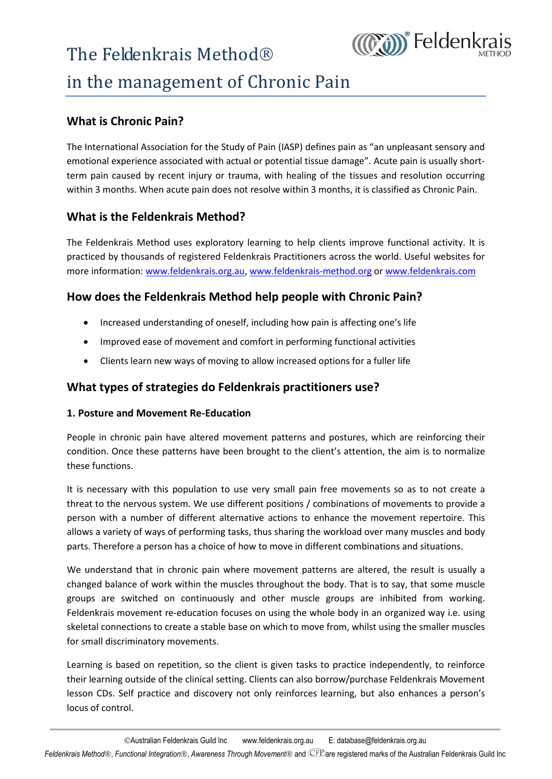### in the management of Chronic Pain term pain caused by recent injury or training or training or training or training or training or training or t<br>The tissues and resolution of the tissues and resolution of the tissues and resolution of the tissues and resol

### **What is Chronic Pain?**

emotional experience associated with actual or potential tissue damage". Acute pain is usually shortterm pain caused by recent injury or trauma, with healing of the tissues and resolution occurring within 3 months. When acute pain does not resolve within 3 months, it is classified as Chronic Pain. The Feldenkrais Methom<br>
in the management of (<br>
What is Chronic Pain?<br>
The International Association for the Study control<br>
national experience associated with actual<br>
term pain caused by recent injury or traum<br>
within 3 m

**(COM)** Feldenkra

denkrais Method uses exploratory learning to help clients improve functional activid by thousands of registered Feldenkrais Practitioners across the world. Useful webs<br>formation: <u>www.feldenkrais.org.au, www.feldenkrais-me</u> Improved ease of movement and c[omfort in performing functional activities](http://www.feldenkrais-method.org)<br>Increased understanding of oneself, including how pain is affecting one's life<br>Improved ease of movement and comfort in performing functional activi

# W **How does the Feldenkrais Method help people with Chronic Pain?**<br>• Increased understanding of oneself, including how pain is affecting one's life<br>• Improved ease of movement and comfort in performing functional activities<br>

- Increased understanding of oneself, including how pain is affecting one's life
- Improved ease of movement and comfort in performing functional activities
- Clients learn new ways of moving to allow increased options for a fuller life

### What types of strategies do Feldenkrais practitioners use?

### 1. Posture and Movement Re-Education

People in chronic pain have altered movement patterns and postures, which are reinforcing their condition. Once these patterns have been brought to the client's attention, the aim is to normalize these functions.

It is necessary with this population to use very small pain free movements so as to not create a threat to the nervous system. We use different positions / combinations of movements to provide a person with a number of different alternative actions to enhance the movement repertoire. This allows a variety of ways of performing tasks, thus sharing the workload over many muscles and body parts. Therefore a person has a choice of how to move in different combinations and situations.

We understand that in chronic pain where movement patterns are altered, the result is usually a changed balance of work within the muscles throughout the body. That is to say, that some muscle groups are switched on continuously and other muscle groups are inhibited from working. Feldenkrais movement re-education focuses on using the whole body in an organized way i.e. using skeletal connections to create a stable base on which to move from, whilst using the smaller muscles for small discriminatory movements.

Learning is based on repetition, so the client is given tasks to practice independently, to reinforce their learning outside of the clinical setting. Clients can also borrow/purchase Feldenkrais Movement lesson CDs. Self practice and discovery not only reinforces learning, but also enhances a person's locus of control.

Australian Feldenkrais Guild Inc www.feldenkrais.org.au E: database@feldenkrais.org.au